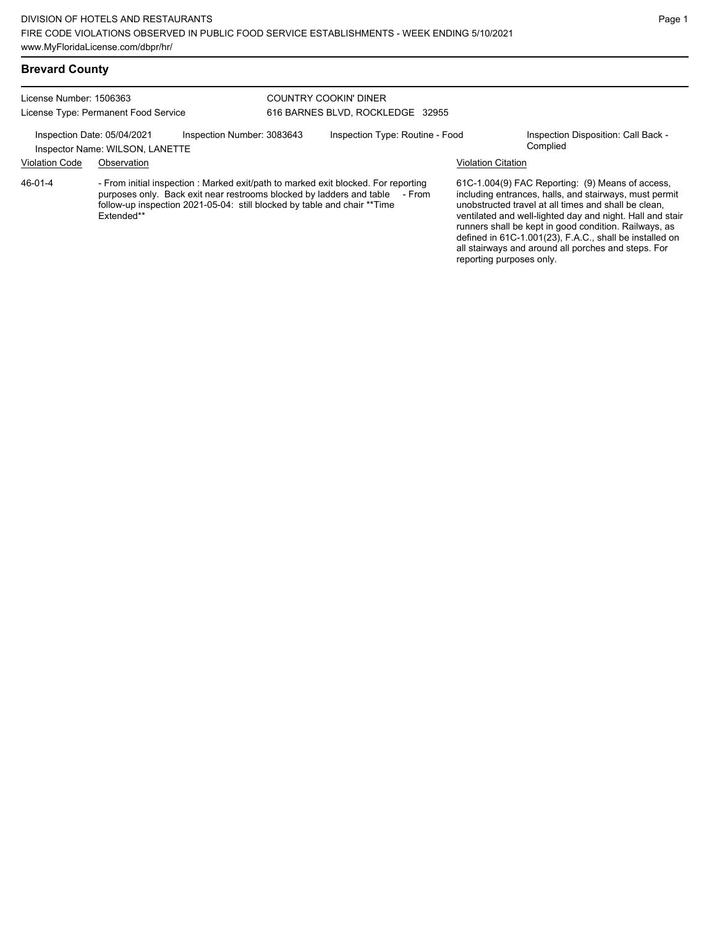### **Brevard County**

License Number: 1506363 License Type: Permanent Food Service

#### COUNTRY COOKIN' DINER 616 BARNES BLVD, ROCKLEDGE 32955

Inspection Date: 05/04/2021 Inspection Number: 3083643 Inspection Type: Routine - Food Inspection Disposition: Call Back -

# Inspector Name: WILSON, LANETTE

Violation Code Observation Violation Citation

- From initial inspection : Marked exit/path to marked exit blocked. For reporting purposes only. Back exit near restrooms blocked by ladders and table - From follow-up inspection 2021-05-04: still blocked by table and chair \*\*Time Extended\*\* 46-01-4

61C-1.004(9) FAC Reporting: (9) Means of access, including entrances, halls, and stairways, must permit unobstructed travel at all times and shall be clean, ventilated and well-lighted day and night. Hall and stair runners shall be kept in good condition. Railways, as defined in 61C-1.001(23), F.A.C., shall be installed on all stairways and around all porches and steps. For reporting purposes only.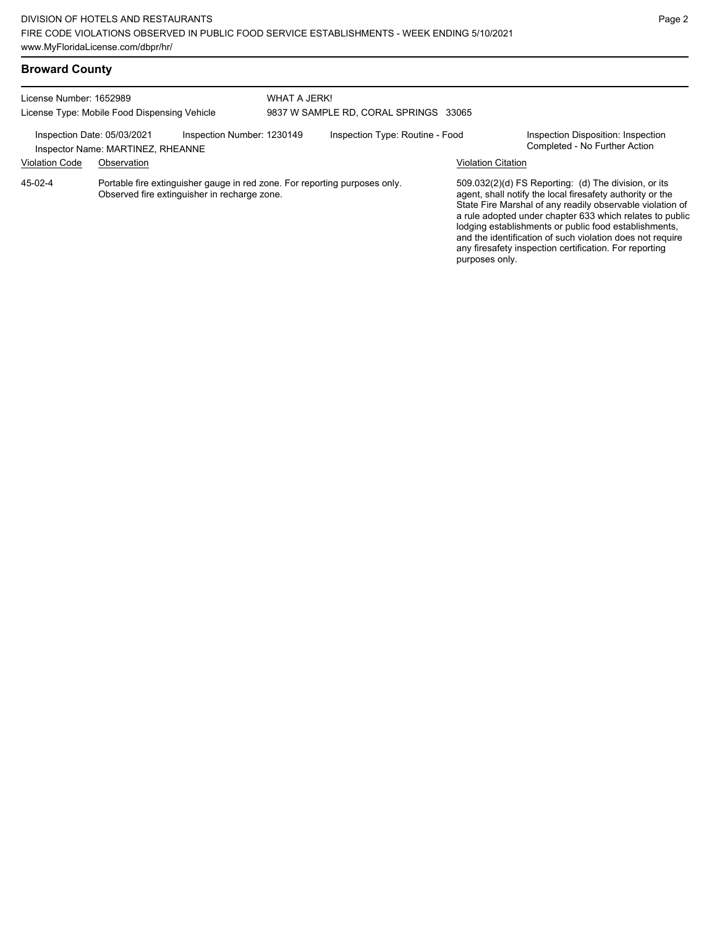| License Number: 1652989<br>License Type: Mobile Food Dispensing Vehicle |                                   | WHAT A JERK!<br>9837 W SAMPLE RD, CORAL SPRINGS 33065                                                                      |  |                                 |                           |                                                                                                                                                                                                                                                                                                                                                                                                                            |
|-------------------------------------------------------------------------|-----------------------------------|----------------------------------------------------------------------------------------------------------------------------|--|---------------------------------|---------------------------|----------------------------------------------------------------------------------------------------------------------------------------------------------------------------------------------------------------------------------------------------------------------------------------------------------------------------------------------------------------------------------------------------------------------------|
| Inspection Date: 05/03/2021                                             | Inspector Name: MARTINEZ, RHEANNE | Inspection Number: 1230149                                                                                                 |  | Inspection Type: Routine - Food |                           | Inspection Disposition: Inspection<br>Completed - No Further Action                                                                                                                                                                                                                                                                                                                                                        |
| <b>Violation Code</b>                                                   | Observation                       |                                                                                                                            |  |                                 | <b>Violation Citation</b> |                                                                                                                                                                                                                                                                                                                                                                                                                            |
| 45-02-4                                                                 |                                   | Portable fire extinguisher gauge in red zone. For reporting purposes only.<br>Observed fire extinguisher in recharge zone. |  |                                 | purposes only.            | 509.032(2)(d) FS Reporting: (d) The division, or its<br>agent, shall notify the local firesafety authority or the<br>State Fire Marshal of any readily observable violation of<br>a rule adopted under chapter 633 which relates to public<br>lodging establishments or public food establishments,<br>and the identification of such violation does not require<br>any firesafety inspection certification. For reporting |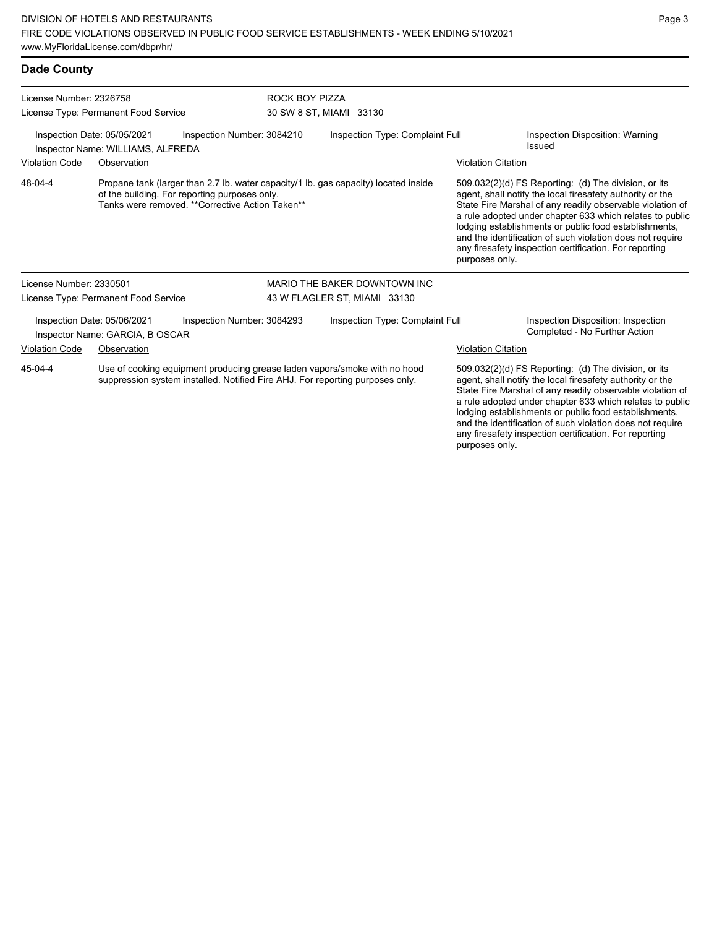| <b>Dade County</b>                                                                                                                                                    |                                                                |                                                                                                  |                                           |                                                                                     |                                                                                                                   |                                                                                                                                                                                                                                                                                                                                                                                                                            |  |
|-----------------------------------------------------------------------------------------------------------------------------------------------------------------------|----------------------------------------------------------------|--------------------------------------------------------------------------------------------------|-------------------------------------------|-------------------------------------------------------------------------------------|-------------------------------------------------------------------------------------------------------------------|----------------------------------------------------------------------------------------------------------------------------------------------------------------------------------------------------------------------------------------------------------------------------------------------------------------------------------------------------------------------------------------------------------------------------|--|
| License Number: 2326758<br>License Type: Permanent Food Service                                                                                                       |                                                                |                                                                                                  | ROCK BOY PIZZA<br>30 SW 8 ST, MIAMI 33130 |                                                                                     |                                                                                                                   |                                                                                                                                                                                                                                                                                                                                                                                                                            |  |
| Inspection Number: 3084210<br>Inspection Date: 05/05/2021<br>Inspector Name: WILLIAMS, ALFREDA<br><b>Violation Code</b><br>Observation                                |                                                                |                                                                                                  | Inspection Type: Complaint Full           |                                                                                     | Inspection Disposition: Warning<br>Issued                                                                         |                                                                                                                                                                                                                                                                                                                                                                                                                            |  |
| 48-04-4                                                                                                                                                               |                                                                | of the building. For reporting purposes only.<br>Tanks were removed. **Corrective Action Taken** |                                           | Propane tank (larger than 2.7 lb. water capacity/1 lb. gas capacity) located inside | <b>Violation Citation</b><br>purposes only.                                                                       | 509.032(2)(d) FS Reporting: (d) The division, or its<br>agent, shall notify the local firesafety authority or the<br>State Fire Marshal of any readily observable violation of<br>a rule adopted under chapter 633 which relates to public<br>lodging establishments or public food establishments,<br>and the identification of such violation does not require<br>any firesafety inspection certification. For reporting |  |
| License Number: 2330501                                                                                                                                               |                                                                |                                                                                                  |                                           | MARIO THE BAKER DOWNTOWN INC                                                        |                                                                                                                   |                                                                                                                                                                                                                                                                                                                                                                                                                            |  |
|                                                                                                                                                                       | License Type: Permanent Food Service                           |                                                                                                  | 43 W FLAGLER ST, MIAMI 33130              |                                                                                     |                                                                                                                   |                                                                                                                                                                                                                                                                                                                                                                                                                            |  |
|                                                                                                                                                                       | Inspection Date: 05/06/2021<br>Inspector Name: GARCIA, B OSCAR | Inspection Number: 3084293                                                                       |                                           | Inspection Type: Complaint Full                                                     |                                                                                                                   | Inspection Disposition: Inspection<br>Completed - No Further Action                                                                                                                                                                                                                                                                                                                                                        |  |
| <b>Violation Code</b>                                                                                                                                                 | Observation                                                    |                                                                                                  |                                           |                                                                                     | <b>Violation Citation</b>                                                                                         |                                                                                                                                                                                                                                                                                                                                                                                                                            |  |
| 45-04-4<br>Use of cooking equipment producing grease laden vapors/smoke with no hood<br>suppression system installed. Notified Fire AHJ. For reporting purposes only. |                                                                |                                                                                                  |                                           |                                                                                     | 509.032(2)(d) FS Reporting: (d) The division, or its<br>agent, shall notify the local firesafety authority or the |                                                                                                                                                                                                                                                                                                                                                                                                                            |  |

State Fire Marshal of any readily observable violation of a rule adopted under chapter 633 which relates to public lodging establishments or public food establishments, and the identification of such violation does not require any firesafety inspection certification. For reporting purposes only.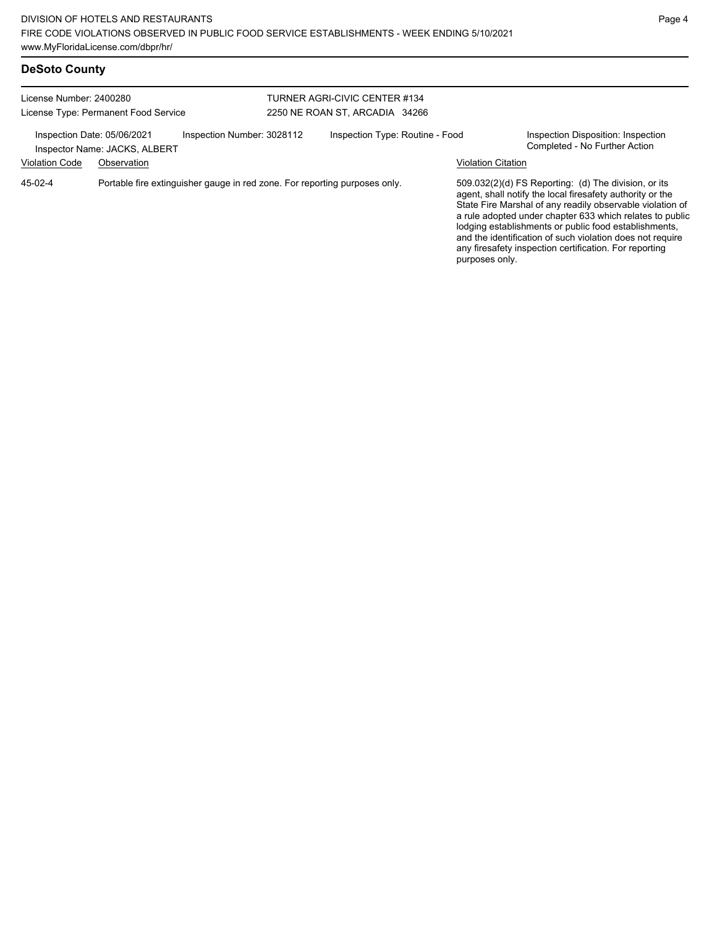|  | <b>DeSoto County</b> |
|--|----------------------|
|--|----------------------|

| License Number: 2400280<br>License Type: Permanent Food Service |                                                                            |                            | TURNER AGRI-CIVIC CENTER #134<br>2250 NE ROAN ST, ARCADIA 34266 |                           |                                                                                                                                                                                                                                                                                                                                                                                                                            |  |  |
|-----------------------------------------------------------------|----------------------------------------------------------------------------|----------------------------|-----------------------------------------------------------------|---------------------------|----------------------------------------------------------------------------------------------------------------------------------------------------------------------------------------------------------------------------------------------------------------------------------------------------------------------------------------------------------------------------------------------------------------------------|--|--|
| Inspection Date: 05/06/2021<br><b>Violation Code</b>            | Inspector Name: JACKS, ALBERT<br>Observation                               | Inspection Number: 3028112 | Inspection Type: Routine - Food                                 | <b>Violation Citation</b> | Inspection Disposition: Inspection<br>Completed - No Further Action                                                                                                                                                                                                                                                                                                                                                        |  |  |
| 45-02-4                                                         | Portable fire extinguisher gauge in red zone. For reporting purposes only. |                            |                                                                 | purposes only.            | 509.032(2)(d) FS Reporting: (d) The division, or its<br>agent, shall notify the local firesafety authority or the<br>State Fire Marshal of any readily observable violation of<br>a rule adopted under chapter 633 which relates to public<br>lodging establishments or public food establishments,<br>and the identification of such violation does not require<br>any firesafety inspection certification. For reporting |  |  |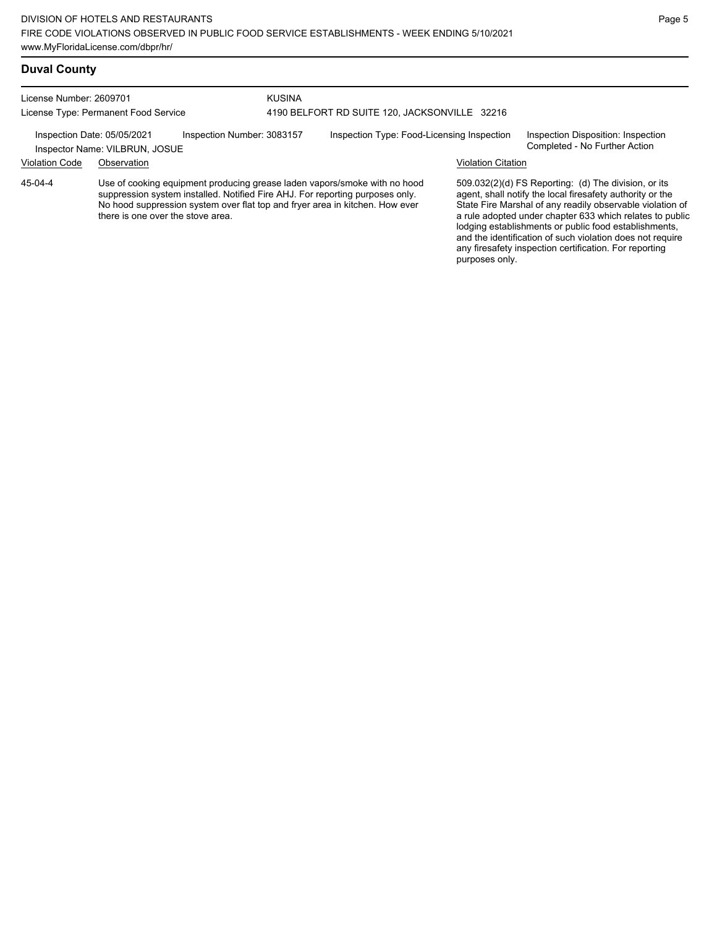# **Duval County**

| License Number: 2609701              |                                                               |                            | <b>KUSINA</b>                                 |                                                                                                                                                                                                                                            |                           |                                                                                                                                                                                                                                                                                                                                                                                                                            |
|--------------------------------------|---------------------------------------------------------------|----------------------------|-----------------------------------------------|--------------------------------------------------------------------------------------------------------------------------------------------------------------------------------------------------------------------------------------------|---------------------------|----------------------------------------------------------------------------------------------------------------------------------------------------------------------------------------------------------------------------------------------------------------------------------------------------------------------------------------------------------------------------------------------------------------------------|
| License Type: Permanent Food Service |                                                               |                            | 4190 BELFORT RD SUITE 120. JACKSONVILLE 32216 |                                                                                                                                                                                                                                            |                           |                                                                                                                                                                                                                                                                                                                                                                                                                            |
|                                      | Inspection Date: 05/05/2021<br>Inspector Name: VILBRUN, JOSUE | Inspection Number: 3083157 |                                               | Inspection Type: Food-Licensing Inspection                                                                                                                                                                                                 |                           | Inspection Disposition: Inspection<br>Completed - No Further Action                                                                                                                                                                                                                                                                                                                                                        |
| <b>Violation Code</b>                | Observation                                                   |                            |                                               |                                                                                                                                                                                                                                            | <b>Violation Citation</b> |                                                                                                                                                                                                                                                                                                                                                                                                                            |
| 45-04-4                              | there is one over the stove area.                             |                            |                                               | Use of cooking equipment producing grease laden vapors/smoke with no hood<br>suppression system installed. Notified Fire AHJ. For reporting purposes only.<br>No hood suppression system over flat top and fryer area in kitchen. How ever |                           | 509.032(2)(d) FS Reporting: (d) The division, or its<br>agent, shall notify the local firesafety authority or the<br>State Fire Marshal of any readily observable violation of<br>a rule adopted under chapter 633 which relates to public<br>lodging establishments or public food establishments,<br>and the identification of such violation does not require<br>any firesafety inspection certification. For reporting |

purposes only.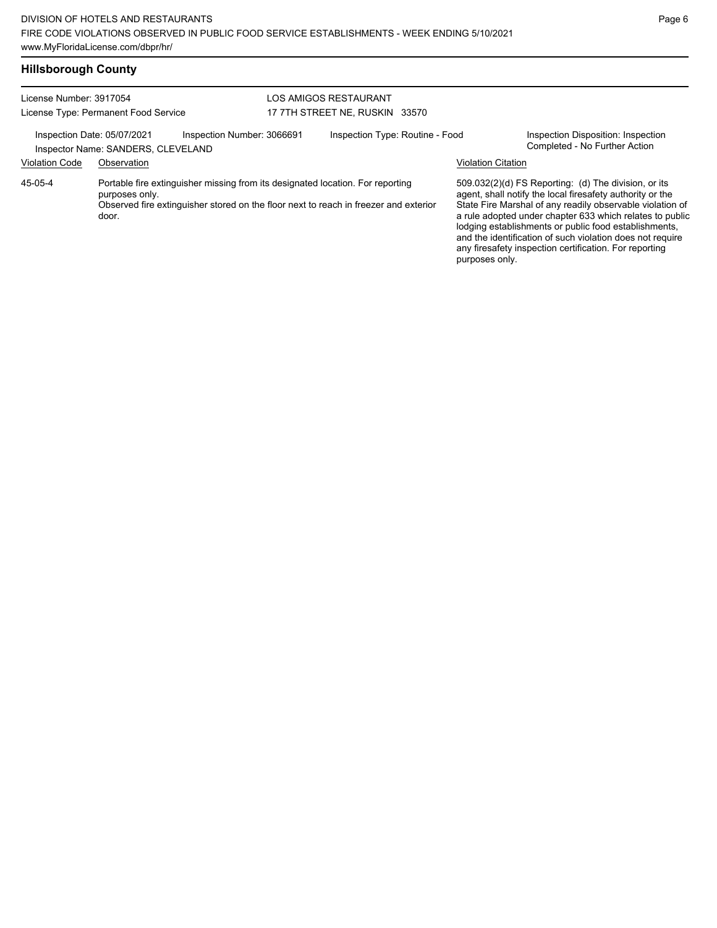## **Hillsborough County**

| License Number: 3917054<br>License Type: Permanent Food Service |                                                                   |                                                                                                                                                                        | LOS AMIGOS RESTAURANT<br>17 7TH STREET NE. RUSKIN 33570 |                                                                                                                                                                                                                                                                                                                                                                                                                                              |
|-----------------------------------------------------------------|-------------------------------------------------------------------|------------------------------------------------------------------------------------------------------------------------------------------------------------------------|---------------------------------------------------------|----------------------------------------------------------------------------------------------------------------------------------------------------------------------------------------------------------------------------------------------------------------------------------------------------------------------------------------------------------------------------------------------------------------------------------------------|
|                                                                 | Inspection Date: 05/07/2021<br>Inspector Name: SANDERS, CLEVELAND | Inspection Number: 3066691                                                                                                                                             | Inspection Type: Routine - Food                         | Inspection Disposition: Inspection<br>Completed - No Further Action                                                                                                                                                                                                                                                                                                                                                                          |
| <b>Violation Code</b>                                           | Observation                                                       |                                                                                                                                                                        |                                                         | <b>Violation Citation</b>                                                                                                                                                                                                                                                                                                                                                                                                                    |
| 45-05-4                                                         | purposes only.<br>door.                                           | Portable fire extinguisher missing from its designated location. For reporting<br>Observed fire extinguisher stored on the floor next to reach in freezer and exterior |                                                         | 509.032(2)(d) FS Reporting: (d) The division, or its<br>agent, shall notify the local firesafety authority or the<br>State Fire Marshal of any readily observable violation of<br>a rule adopted under chapter 633 which relates to public<br>lodging establishments or public food establishments,<br>and the identification of such violation does not require<br>any firesafety inspection certification. For reporting<br>purposes only. |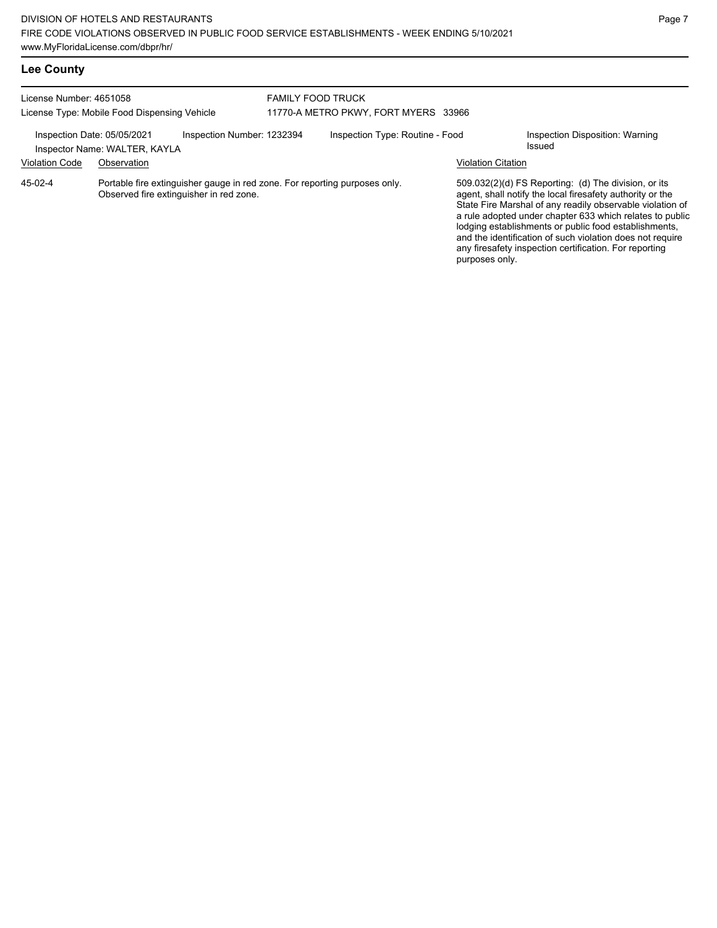# **Lee County**

| License Number: 4651058<br>License Type: Mobile Food Dispensing Vehicle |                               |                                         | <b>FAMILY FOOD TRUCK</b><br>11770-A METRO PKWY, FORT MYERS 33966           |                           |                                                                                                                                                                                                                                                                                                                                                                                                                            |
|-------------------------------------------------------------------------|-------------------------------|-----------------------------------------|----------------------------------------------------------------------------|---------------------------|----------------------------------------------------------------------------------------------------------------------------------------------------------------------------------------------------------------------------------------------------------------------------------------------------------------------------------------------------------------------------------------------------------------------------|
| Inspection Date: 05/05/2021                                             | Inspector Name: WALTER, KAYLA | Inspection Number: 1232394              | Inspection Type: Routine - Food                                            |                           | Inspection Disposition: Warning<br>Issued                                                                                                                                                                                                                                                                                                                                                                                  |
| <b>Violation Code</b>                                                   | Observation                   |                                         |                                                                            | <b>Violation Citation</b> |                                                                                                                                                                                                                                                                                                                                                                                                                            |
| 45-02-4                                                                 |                               | Observed fire extinguisher in red zone. | Portable fire extinguisher gauge in red zone. For reporting purposes only. | purposes only.            | 509.032(2)(d) FS Reporting: (d) The division, or its<br>agent, shall notify the local firesafety authority or the<br>State Fire Marshal of any readily observable violation of<br>a rule adopted under chapter 633 which relates to public<br>lodging establishments or public food establishments,<br>and the identification of such violation does not require<br>any firesafety inspection certification. For reporting |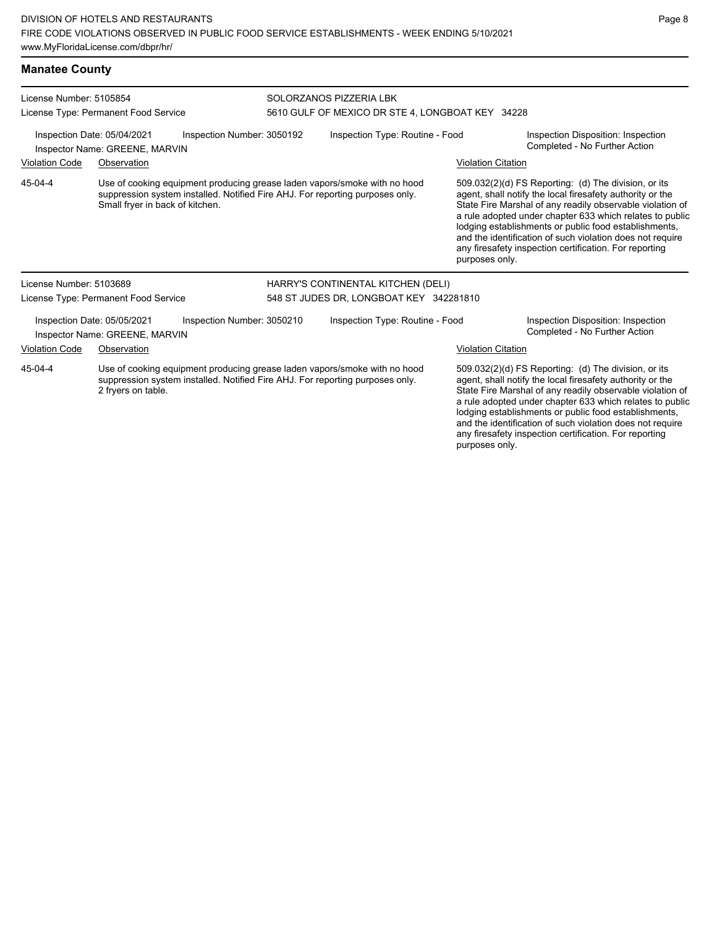### **Manatee County**

| License Number: 5105854                                                                     |                                                               |                                                                                                                                                            | SOLORZANOS PIZZERIA LBK                          |                                         |                           |                                                                                                                                                                                                                                                                                                                                                                                                                            |  |
|---------------------------------------------------------------------------------------------|---------------------------------------------------------------|------------------------------------------------------------------------------------------------------------------------------------------------------------|--------------------------------------------------|-----------------------------------------|---------------------------|----------------------------------------------------------------------------------------------------------------------------------------------------------------------------------------------------------------------------------------------------------------------------------------------------------------------------------------------------------------------------------------------------------------------------|--|
| License Type: Permanent Food Service                                                        |                                                               |                                                                                                                                                            | 5610 GULF OF MEXICO DR STE 4, LONGBOAT KEY 34228 |                                         |                           |                                                                                                                                                                                                                                                                                                                                                                                                                            |  |
| Inspection Date: 05/04/2021<br>Inspection Number: 3050192<br>Inspector Name: GREENE, MARVIN |                                                               |                                                                                                                                                            | Inspection Type: Routine - Food                  |                                         |                           | Inspection Disposition: Inspection<br>Completed - No Further Action                                                                                                                                                                                                                                                                                                                                                        |  |
| <b>Violation Code</b>                                                                       | Observation                                                   |                                                                                                                                                            |                                                  |                                         | <b>Violation Citation</b> |                                                                                                                                                                                                                                                                                                                                                                                                                            |  |
| 45-04-4                                                                                     | Small fryer in back of kitchen.                               | Use of cooking equipment producing grease laden vapors/smoke with no hood<br>suppression system installed. Notified Fire AHJ. For reporting purposes only. |                                                  |                                         | purposes only.            | 509.032(2)(d) FS Reporting: (d) The division, or its<br>agent, shall notify the local firesafety authority or the<br>State Fire Marshal of any readily observable violation of<br>a rule adopted under chapter 633 which relates to public<br>lodging establishments or public food establishments,<br>and the identification of such violation does not require<br>any firesafety inspection certification. For reporting |  |
| License Number: 5103689                                                                     |                                                               |                                                                                                                                                            |                                                  | HARRY'S CONTINENTAL KITCHEN (DELI)      |                           |                                                                                                                                                                                                                                                                                                                                                                                                                            |  |
|                                                                                             | License Type: Permanent Food Service                          |                                                                                                                                                            |                                                  | 548 ST JUDES DR, LONGBOAT KEY 342281810 |                           |                                                                                                                                                                                                                                                                                                                                                                                                                            |  |
|                                                                                             | Inspection Date: 05/05/2021<br>Inspector Name: GREENE, MARVIN | Inspection Number: 3050210                                                                                                                                 |                                                  | Inspection Type: Routine - Food         |                           | Inspection Disposition: Inspection<br>Completed - No Further Action                                                                                                                                                                                                                                                                                                                                                        |  |
| <b>Violation Code</b>                                                                       | Observation                                                   |                                                                                                                                                            |                                                  |                                         | <b>Violation Citation</b> |                                                                                                                                                                                                                                                                                                                                                                                                                            |  |
| 45-04-4                                                                                     | 2 fryers on table.                                            | Use of cooking equipment producing grease laden vapors/smoke with no hood<br>suppression system installed. Notified Fire AHJ. For reporting purposes only. |                                                  |                                         |                           | 509.032(2)(d) FS Reporting: (d) The division, or its<br>agent, shall notify the local firesafety authority or the<br>State Fire Marshal of any readily observable violation of<br>a rule adopted under chapter 633 which relates to public<br>lodging establishments or public food establishments,<br>and the identification of such violation does not require<br>any firesafety inspection certification. For reporting |  |

purposes only.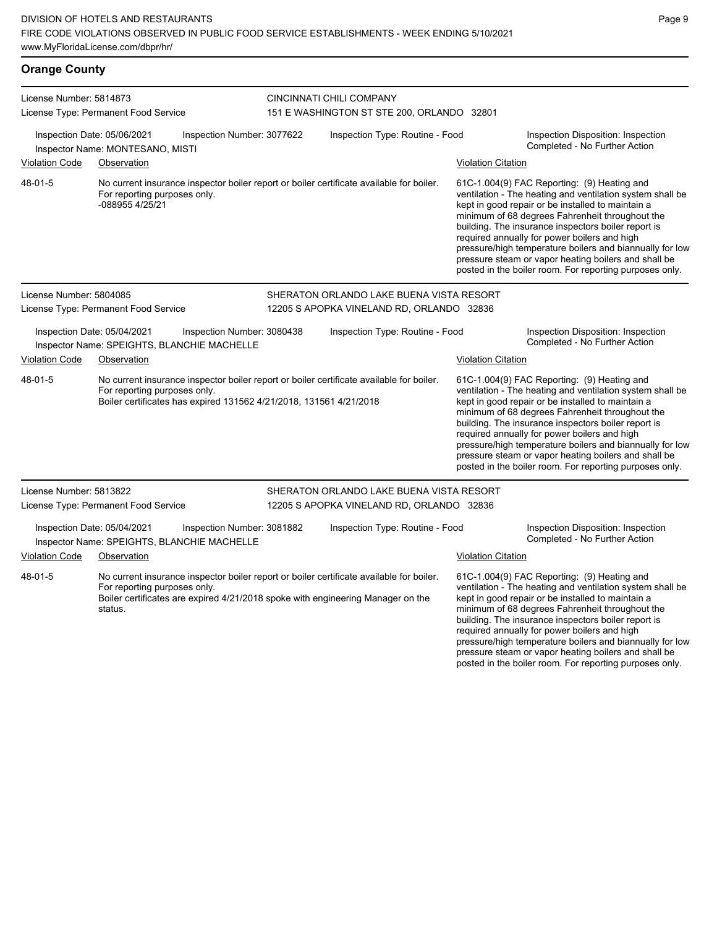| <b>Orange County</b>                                                                                                                                                                                      |                                                                                                                                                                                                                        |                                                                        |                           |                                                                                                                                                                                                                                                                                                                                                                                                                                                                                                        |  |
|-----------------------------------------------------------------------------------------------------------------------------------------------------------------------------------------------------------|------------------------------------------------------------------------------------------------------------------------------------------------------------------------------------------------------------------------|------------------------------------------------------------------------|---------------------------|--------------------------------------------------------------------------------------------------------------------------------------------------------------------------------------------------------------------------------------------------------------------------------------------------------------------------------------------------------------------------------------------------------------------------------------------------------------------------------------------------------|--|
| License Number: 5814873                                                                                                                                                                                   | License Type: Permanent Food Service                                                                                                                                                                                   | CINCINNATI CHILI COMPANY<br>151 E WASHINGTON ST STE 200, ORLANDO 32801 |                           |                                                                                                                                                                                                                                                                                                                                                                                                                                                                                                        |  |
| Inspection Number: 3077622<br>Inspection Date: 05/06/2021<br>Inspector Name: MONTESANO, MISTI                                                                                                             |                                                                                                                                                                                                                        | Inspection Type: Routine - Food                                        |                           | Inspection Disposition: Inspection<br>Completed - No Further Action                                                                                                                                                                                                                                                                                                                                                                                                                                    |  |
| <b>Violation Code</b>                                                                                                                                                                                     | Observation                                                                                                                                                                                                            |                                                                        | <b>Violation Citation</b> |                                                                                                                                                                                                                                                                                                                                                                                                                                                                                                        |  |
| 48-01-5                                                                                                                                                                                                   | No current insurance inspector boiler report or boiler certificate available for boiler.<br>For reporting purposes only.<br>-088955 4/25/21                                                                            |                                                                        |                           | 61C-1.004(9) FAC Reporting: (9) Heating and<br>ventilation - The heating and ventilation system shall be<br>kept in good repair or be installed to maintain a<br>minimum of 68 degrees Fahrenheit throughout the<br>building. The insurance inspectors boiler report is<br>required annually for power boilers and high<br>pressure/high temperature boilers and biannually for low<br>pressure steam or vapor heating boilers and shall be<br>posted in the boiler room. For reporting purposes only. |  |
| License Number: 5804085                                                                                                                                                                                   |                                                                                                                                                                                                                        | SHERATON ORLANDO LAKE BUENA VISTA RESORT                               |                           |                                                                                                                                                                                                                                                                                                                                                                                                                                                                                                        |  |
|                                                                                                                                                                                                           | License Type: Permanent Food Service                                                                                                                                                                                   | 12205 S APOPKA VINELAND RD, ORLANDO 32836                              |                           |                                                                                                                                                                                                                                                                                                                                                                                                                                                                                                        |  |
| Inspection Date: 05/04/2021<br>Inspection Number: 3080438<br>Inspector Name: SPEIGHTS, BLANCHIE MACHELLE                                                                                                  |                                                                                                                                                                                                                        | Inspection Type: Routine - Food                                        |                           | Inspection Disposition: Inspection<br>Completed - No Further Action                                                                                                                                                                                                                                                                                                                                                                                                                                    |  |
| <b>Violation Code</b>                                                                                                                                                                                     | Observation                                                                                                                                                                                                            | <b>Violation Citation</b>                                              |                           |                                                                                                                                                                                                                                                                                                                                                                                                                                                                                                        |  |
| 48-01-5<br>No current insurance inspector boiler report or boiler certificate available for boiler.<br>For reporting purposes only.<br>Boiler certificates has expired 131562 4/21/2018, 131561 4/21/2018 |                                                                                                                                                                                                                        |                                                                        |                           | 61C-1.004(9) FAC Reporting: (9) Heating and<br>ventilation - The heating and ventilation system shall be<br>kept in good repair or be installed to maintain a<br>minimum of 68 degrees Fahrenheit throughout the<br>building. The insurance inspectors boiler report is<br>required annually for power boilers and high<br>pressure/high temperature boilers and biannually for low<br>pressure steam or vapor heating boilers and shall be<br>posted in the boiler room. For reporting purposes only. |  |
| License Number: 5813822                                                                                                                                                                                   |                                                                                                                                                                                                                        | SHERATON ORLANDO LAKE BUENA VISTA RESORT                               |                           |                                                                                                                                                                                                                                                                                                                                                                                                                                                                                                        |  |
| License Type: Permanent Food Service                                                                                                                                                                      |                                                                                                                                                                                                                        | 12205 S APOPKA VINELAND RD, ORLANDO 32836                              |                           |                                                                                                                                                                                                                                                                                                                                                                                                                                                                                                        |  |
|                                                                                                                                                                                                           | Inspection Date: 05/04/2021<br>Inspection Number: 3081882<br>Inspector Name: SPEIGHTS, BLANCHIE MACHELLE                                                                                                               | Inspection Type: Routine - Food                                        |                           | Inspection Disposition: Inspection<br>Completed - No Further Action                                                                                                                                                                                                                                                                                                                                                                                                                                    |  |
| <b>Violation Code</b>                                                                                                                                                                                     | Observation                                                                                                                                                                                                            |                                                                        | <b>Violation Citation</b> |                                                                                                                                                                                                                                                                                                                                                                                                                                                                                                        |  |
| 48-01-5                                                                                                                                                                                                   | No current insurance inspector boiler report or boiler certificate available for boiler.<br>For reporting purposes only.<br>Boiler certificates are expired 4/21/2018 spoke with engineering Manager on the<br>status. |                                                                        |                           | 61C-1.004(9) FAC Reporting: (9) Heating and<br>ventilation - The heating and ventilation system shall be<br>kept in good repair or be installed to maintain a<br>minimum of 68 degrees Fahrenheit throughout the                                                                                                                                                                                                                                                                                       |  |

building. The insurance inspectors boiler report is required annually for power boilers and high pressure/high temperature boilers and biannually for low pressure steam or vapor heating boilers and shall be posted in the boiler room. For reporting purposes only.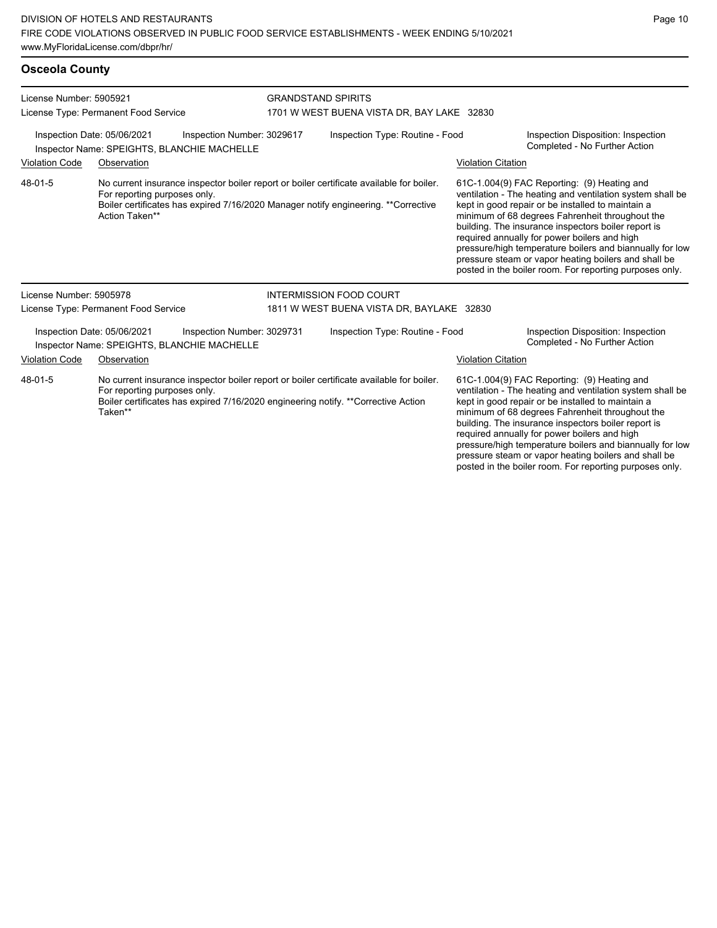### **Osceola County**

| License Number: 5905921                                                                                  |                                                |                                                                           | <b>GRANDSTAND SPIRITS</b>       |                                                                                                                                                                                 |                           |                                                                                                                                                                                                                                                                                                                                                                                                                                                                                                        |
|----------------------------------------------------------------------------------------------------------|------------------------------------------------|---------------------------------------------------------------------------|---------------------------------|---------------------------------------------------------------------------------------------------------------------------------------------------------------------------------|---------------------------|--------------------------------------------------------------------------------------------------------------------------------------------------------------------------------------------------------------------------------------------------------------------------------------------------------------------------------------------------------------------------------------------------------------------------------------------------------------------------------------------------------|
|                                                                                                          | License Type: Permanent Food Service           |                                                                           |                                 | 1701 W WEST BUENA VISTA DR, BAY LAKE 32830                                                                                                                                      |                           |                                                                                                                                                                                                                                                                                                                                                                                                                                                                                                        |
| Inspection Date: 05/06/2021<br>Inspection Number: 3029617<br>Inspector Name: SPEIGHTS, BLANCHIE MACHELLE |                                                |                                                                           | Inspection Type: Routine - Food |                                                                                                                                                                                 |                           | Inspection Disposition: Inspection<br>Completed - No Further Action                                                                                                                                                                                                                                                                                                                                                                                                                                    |
| Violation Code                                                                                           | Observation                                    |                                                                           |                                 |                                                                                                                                                                                 | <b>Violation Citation</b> |                                                                                                                                                                                                                                                                                                                                                                                                                                                                                                        |
| 48-01-5                                                                                                  | For reporting purposes only.<br>Action Taken** |                                                                           |                                 | No current insurance inspector boiler report or boiler certificate available for boiler.<br>Boiler certificates has expired 7/16/2020 Manager notify engineering. ** Corrective |                           | 61C-1.004(9) FAC Reporting: (9) Heating and<br>ventilation - The heating and ventilation system shall be<br>kept in good repair or be installed to maintain a<br>minimum of 68 degrees Fahrenheit throughout the<br>building. The insurance inspectors boiler report is<br>required annually for power boilers and high<br>pressure/high temperature boilers and biannually for low<br>pressure steam or vapor heating boilers and shall be<br>posted in the boiler room. For reporting purposes only. |
| License Number: 5905978                                                                                  |                                                |                                                                           |                                 | <b>INTERMISSION FOOD COURT</b>                                                                                                                                                  |                           |                                                                                                                                                                                                                                                                                                                                                                                                                                                                                                        |
|                                                                                                          | License Type: Permanent Food Service           |                                                                           |                                 | 1811 W WEST BUENA VISTA DR, BAYLAKE 32830                                                                                                                                       |                           |                                                                                                                                                                                                                                                                                                                                                                                                                                                                                                        |
|                                                                                                          | Inspection Date: 05/06/2021                    | Inspection Number: 3029731<br>Inspector Name: SPEIGHTS, BLANCHIE MACHELLE |                                 | Inspection Type: Routine - Food                                                                                                                                                 |                           | Inspection Disposition: Inspection<br>Completed - No Further Action                                                                                                                                                                                                                                                                                                                                                                                                                                    |
| <b>Violation Code</b>                                                                                    | Observation                                    |                                                                           |                                 |                                                                                                                                                                                 | <b>Violation Citation</b> |                                                                                                                                                                                                                                                                                                                                                                                                                                                                                                        |
| 48-01-5                                                                                                  | For reporting purposes only.<br>Taken**        |                                                                           |                                 | No current insurance inspector boiler report or boiler certificate available for boiler.<br>Boiler certificates has expired 7/16/2020 engineering notify. **Corrective Action   |                           | 61C-1.004(9) FAC Reporting: (9) Heating and<br>ventilation - The heating and ventilation system shall be<br>kept in good repair or be installed to maintain a<br>minimum of 68 degrees Fahrenheit throughout the<br>building. The insurance inspectors boiler report is<br>required annually for power boilers and high<br>pressure/high temperature boilers and biannually for low                                                                                                                    |

pressure steam or vapor heating boilers and shall be posted in the boiler room. For reporting purposes only.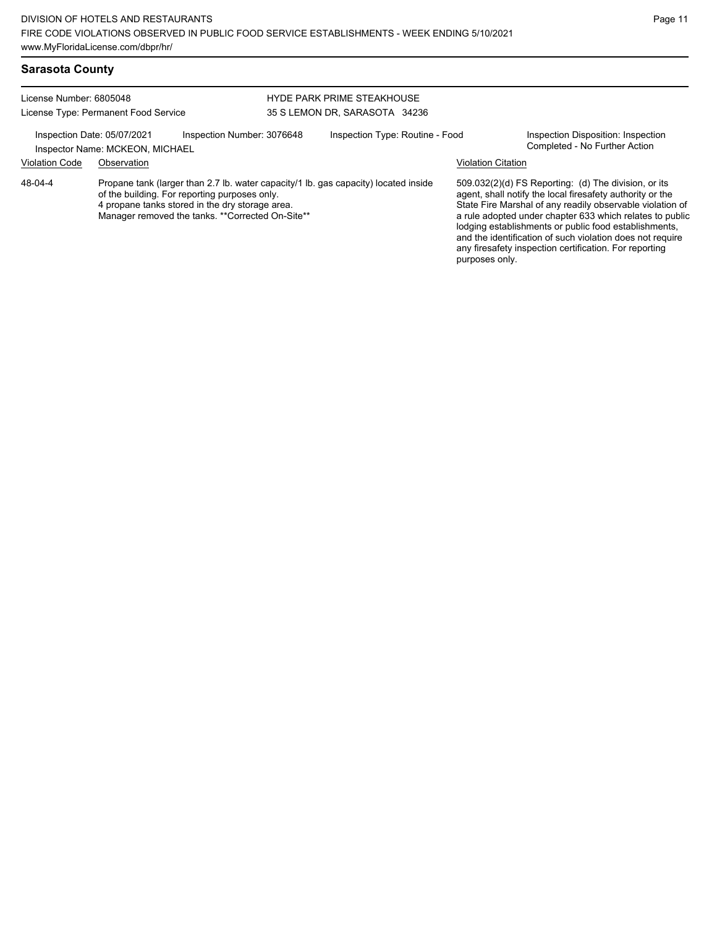| <b>Sarasota County</b>  |                                                                |                                                                                                                                                      |                                                                                     |                           |                                                                                                                                                                                                                                                                                                                                                                                                                            |
|-------------------------|----------------------------------------------------------------|------------------------------------------------------------------------------------------------------------------------------------------------------|-------------------------------------------------------------------------------------|---------------------------|----------------------------------------------------------------------------------------------------------------------------------------------------------------------------------------------------------------------------------------------------------------------------------------------------------------------------------------------------------------------------------------------------------------------------|
| License Number: 6805048 | License Type: Permanent Food Service                           |                                                                                                                                                      | <b>HYDE PARK PRIME STEAKHOUSE</b><br>35 S LEMON DR, SARASOTA 34236                  |                           |                                                                                                                                                                                                                                                                                                                                                                                                                            |
|                         | Inspection Date: 05/07/2021<br>Inspector Name: MCKEON, MICHAEL | Inspection Number: 3076648                                                                                                                           | Inspection Type: Routine - Food                                                     |                           | Inspection Disposition: Inspection<br>Completed - No Further Action                                                                                                                                                                                                                                                                                                                                                        |
| <b>Violation Code</b>   | Observation                                                    |                                                                                                                                                      |                                                                                     | <b>Violation Citation</b> |                                                                                                                                                                                                                                                                                                                                                                                                                            |
| 48-04-4                 |                                                                | of the building. For reporting purposes only.<br>4 propane tanks stored in the dry storage area.<br>Manager removed the tanks. **Corrected On-Site** | Propane tank (larger than 2.7 lb. water capacity/1 lb. gas capacity) located inside | purposes only.            | 509.032(2)(d) FS Reporting: (d) The division, or its<br>agent, shall notify the local firesafety authority or the<br>State Fire Marshal of any readily observable violation of<br>a rule adopted under chapter 633 which relates to public<br>lodging establishments or public food establishments,<br>and the identification of such violation does not require<br>any firesafety inspection certification. For reporting |